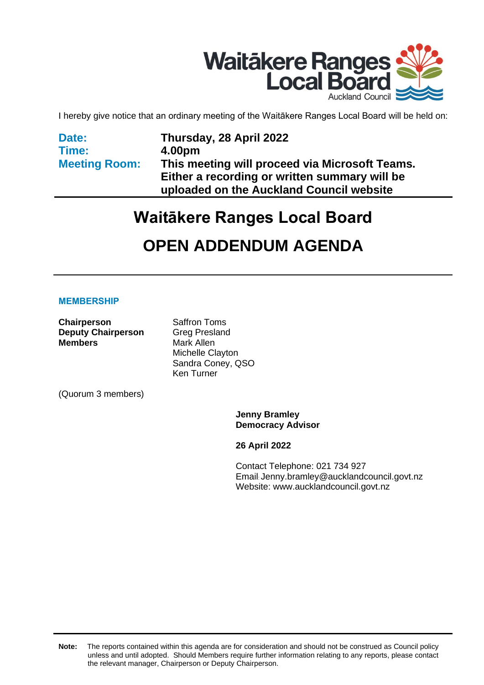

I hereby give notice that an ordinary meeting of the Waitākere Ranges Local Board will be held on:

| Date:                | Thursday, 28 April 2022                                                                   |
|----------------------|-------------------------------------------------------------------------------------------|
| Time:                | 4.00pm                                                                                    |
| <b>Meeting Room:</b> | This meeting will proceed via Microsoft Teams.                                            |
|                      | Either a recording or written summary will be<br>uploaded on the Auckland Council website |

# **Waitākere Ranges Local Board OPEN ADDENDUM AGENDA**

#### **MEMBERSHIP**

**Chairperson** Saffron Toms **Deputy Chairperson** Greg Presland **Members** Mark Allen

Michelle Clayton Sandra Coney, QSO Ken Turner

(Quorum 3 members)

**Jenny Bramley Democracy Advisor**

**26 April 2022**

Contact Telephone: 021 734 927 Email: Jenny.bramley@aucklandcouncil.govt.nz Website: www.aucklandcouncil.govt.nz

**Note:** The reports contained within this agenda are for consideration and should not be construed as Council policy unless and until adopted. Should Members require further information relating to any reports, please contact the relevant manager, Chairperson or Deputy Chairperson.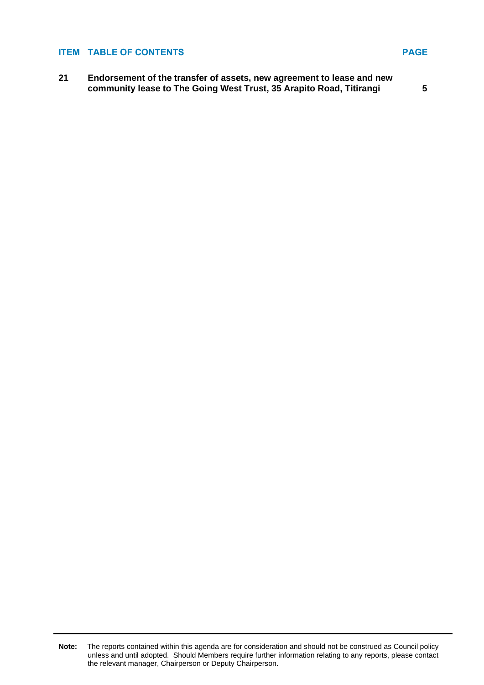#### **ITEM TABLE OF CONTENTS PAGE**

**21 Endorsement of the transfer of assets, new agreement to lease and new community lease to The Going West Trust, 35 Arapito Road, Titirangi [5](#page-4-0)**

**Note:** The reports contained within this agenda are for consideration and should not be construed as Council policy unless and until adopted. Should Members require further information relating to any reports, please contact the relevant manager, Chairperson or Deputy Chairperson.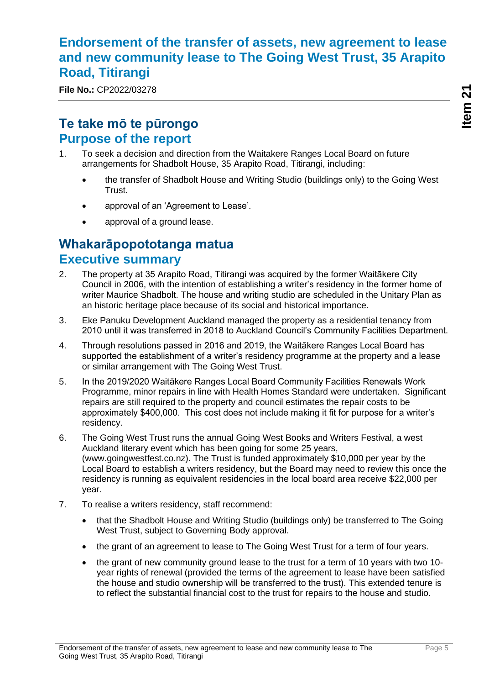### <span id="page-4-0"></span>**Endorsement of the transfer of assets, new agreement to lease and new community lease to The Going West Trust, 35 Arapito Road, Titirangi**

**File No.:** CP2022/03278

### **Te take mō te pūrongo Purpose of the report**

- 1. To seek a decision and direction from the Waitakere Ranges Local Board on future arrangements for Shadbolt House, 35 Arapito Road, Titirangi, including:
	- the transfer of Shadbolt House and Writing Studio (buildings only) to the Going West Trust.
	- approval of an 'Agreement to Lease'.
	- approval of a ground lease.

### **Whakarāpopototanga matua Executive summary**

- 2. The property at 35 Arapito Road, Titirangi was acquired by the former Waitākere City Council in 2006, with the intention of establishing a writer's residency in the former home of writer Maurice Shadbolt. The house and writing studio are scheduled in the Unitary Plan as an historic heritage place because of its social and historical importance.
- 3. Eke Panuku Development Auckland managed the property as a residential tenancy from 2010 until it was transferred in 2018 to Auckland Council's Community Facilities Department.
- 4. Through resolutions passed in 2016 and 2019, the Waitākere Ranges Local Board has supported the establishment of a writer's residency programme at the property and a lease or similar arrangement with The Going West Trust.
- 5. In the 2019/2020 Waitākere Ranges Local Board Community Facilities Renewals Work Programme, minor repairs in line with Health Homes Standard were undertaken. Significant repairs are still required to the property and council estimates the repair costs to be approximately \$400,000. This cost does not include making it fit for purpose for a writer's residency.
- 6. The Going West Trust runs the annual Going West Books and Writers Festival, a west Auckland literary event which has been going for some 25 years, (www.goingwestfest.co.nz). The Trust is funded approximately \$10,000 per year by the Local Board to establish a writers residency, but the Board may need to review this once the residency is running as equivalent residencies in the local board area receive \$22,000 per year.
- 7. To realise a writers residency, staff recommend:
	- that the Shadbolt House and Writing Studio (buildings only) be transferred to The Going West Trust, subject to Governing Body approval.
	- the grant of an agreement to lease to The Going West Trust for a term of four years.
	- the grant of new community ground lease to the trust for a term of 10 years with two 10 year rights of renewal (provided the terms of the agreement to lease have been satisfied the house and studio ownership will be transferred to the trust). This extended tenure is to reflect the substantial financial cost to the trust for repairs to the house and studio.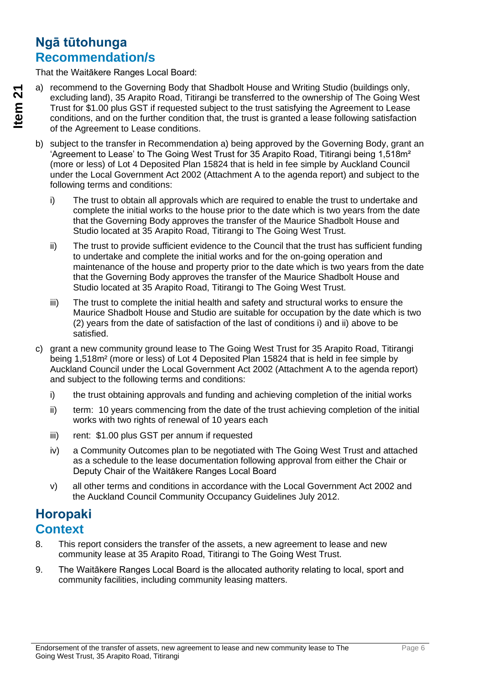### **Ngā tūtohunga Recommendation/s**

That the Waitākere Ranges Local Board:

- a) recommend to the Governing Body that Shadbolt House and Writing Studio (buildings only, excluding land), 35 Arapito Road, Titirangi be transferred to the ownership of The Going West Trust for \$1.00 plus GST if requested subject to the trust satisfying the Agreement to Lease conditions, and on the further condition that, the trust is granted a lease following satisfaction of the Agreement to Lease conditions.
- b) subject to the transfer in Recommendation a) being approved by the Governing Body, grant an 'Agreement to Lease' to The Going West Trust for 35 Arapito Road, Titirangi being 1,518m<sup>2</sup> (more or less) of Lot 4 Deposited Plan 15824 that is held in fee simple by Auckland Council under the Local Government Act 2002 (Attachment A to the agenda report) and subject to the following terms and conditions:
	- i) The trust to obtain all approvals which are required to enable the trust to undertake and complete the initial works to the house prior to the date which is two years from the date that the Governing Body approves the transfer of the Maurice Shadbolt House and Studio located at 35 Arapito Road, Titirangi to The Going West Trust.
	- ii) The trust to provide sufficient evidence to the Council that the trust has sufficient funding to undertake and complete the initial works and for the on-going operation and maintenance of the house and property prior to the date which is two years from the date that the Governing Body approves the transfer of the Maurice Shadbolt House and Studio located at 35 Arapito Road, Titirangi to The Going West Trust.
	- iii) The trust to complete the initial health and safety and structural works to ensure the Maurice Shadbolt House and Studio are suitable for occupation by the date which is two (2) years from the date of satisfaction of the last of conditions i) and ii) above to be satisfied.
- c) grant a new community ground lease to The Going West Trust for 35 Arapito Road, Titirangi being 1,518m² (more or less) of Lot 4 Deposited Plan 15824 that is held in fee simple by Auckland Council under the Local Government Act 2002 (Attachment A to the agenda report) and subject to the following terms and conditions:
	- i) the trust obtaining approvals and funding and achieving completion of the initial works
	- ii) term: 10 years commencing from the date of the trust achieving completion of the initial works with two rights of renewal of 10 years each
	- iii) rent: \$1.00 plus GST per annum if requested
	- iv) a Community Outcomes plan to be negotiated with The Going West Trust and attached as a schedule to the lease documentation following approval from either the Chair or Deputy Chair of the Waitākere Ranges Local Board
	- v) all other terms and conditions in accordance with the Local Government Act 2002 and the Auckland Council Community Occupancy Guidelines July 2012.

## **Horopaki Context**

- 8. This report considers the transfer of the assets, a new agreement to lease and new community lease at 35 Arapito Road, Titirangi to The Going West Trust.
- 9. The Waitākere Ranges Local Board is the allocated authority relating to local, sport and community facilities, including community leasing matters.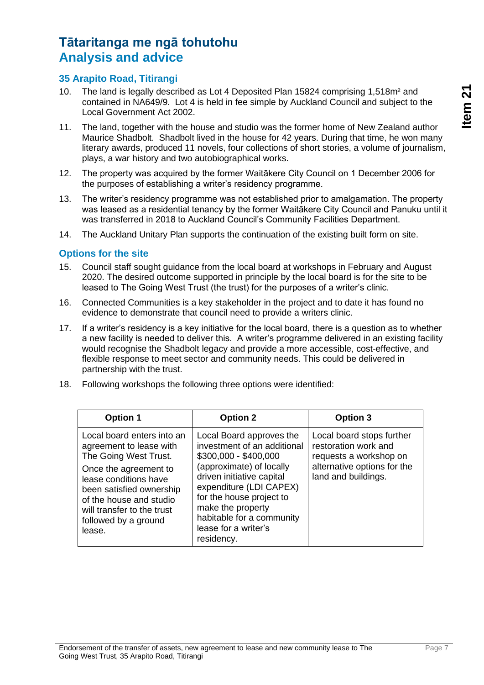### **Tātaritanga me ngā tohutohu Analysis and advice**

### **35 Arapito Road, Titirangi**

- 10. The land is legally described as Lot 4 Deposited Plan 15824 comprising 1,518m² and contained in NA649/9. Lot 4 is held in fee simple by Auckland Council and subject to the Local Government Act 2002.
- 11. The land, together with the house and studio was the former home of New Zealand author Maurice Shadbolt. Shadbolt lived in the house for 42 years. During that time, he won many literary awards, produced 11 novels, four collections of short stories, a volume of journalism, plays, a war history and two autobiographical works.
- 12. The property was acquired by the former Waitākere City Council on 1 December 2006 for the purposes of establishing a writer's residency programme.
- 13. The writer's residency programme was not established prior to amalgamation. The property was leased as a residential tenancy by the former Waitākere City Council and Panuku until it was transferred in 2018 to Auckland Council's Community Facilities Department.
- 14. The Auckland Unitary Plan supports the continuation of the existing built form on site.

#### **Options for the site**

- 15. Council staff sought guidance from the local board at workshops in February and August 2020. The desired outcome supported in principle by the local board is for the site to be leased to The Going West Trust (the trust) for the purposes of a writer's clinic.
- 16. Connected Communities is a key stakeholder in the project and to date it has found no evidence to demonstrate that council need to provide a writers clinic.
- 17. If a writer's residency is a key initiative for the local board, there is a question as to whether a new facility is needed to deliver this. A writer's programme delivered in an existing facility would recognise the Shadbolt legacy and provide a more accessible, cost-effective, and flexible response to meet sector and community needs. This could be delivered in partnership with the trust.
- 18. Following workshops the following three options were identified:

| <b>Option 1</b>                                                                                                                                                                                                                                         | <b>Option 2</b>                                                                                                                                                                                                                                                                          | Option 3                                                                                                                          |
|---------------------------------------------------------------------------------------------------------------------------------------------------------------------------------------------------------------------------------------------------------|------------------------------------------------------------------------------------------------------------------------------------------------------------------------------------------------------------------------------------------------------------------------------------------|-----------------------------------------------------------------------------------------------------------------------------------|
| Local board enters into an<br>agreement to lease with<br>The Going West Trust.<br>Once the agreement to<br>lease conditions have<br>been satisfied ownership<br>of the house and studio<br>will transfer to the trust<br>followed by a ground<br>lease. | Local Board approves the<br>investment of an additional<br>\$300,000 - \$400,000<br>(approximate) of locally<br>driven initiative capital<br>expenditure (LDI CAPEX)<br>for the house project to<br>make the property<br>habitable for a community<br>lease for a writer's<br>residency. | Local board stops further<br>restoration work and<br>requests a workshop on<br>alternative options for the<br>land and buildings. |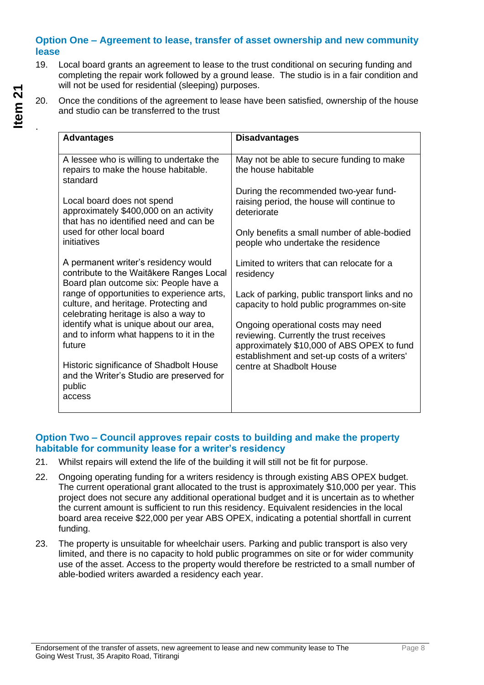#### **Option One – Agreement to lease, transfer of asset ownership and new community lease**

- 19. Local board grants an agreement to lease to the trust conditional on securing funding and completing the repair work followed by a ground lease. The studio is in a fair condition and will not be used for residential (sleeping) purposes.
- 20. Once the conditions of the agreement to lease have been satisfied, ownership of the house and studio can be transferred to the trust

| <b>Advantages</b>                                                                                                            | <b>Disadvantages</b>                                                                                                                                                        |
|------------------------------------------------------------------------------------------------------------------------------|-----------------------------------------------------------------------------------------------------------------------------------------------------------------------------|
| A lessee who is willing to undertake the<br>repairs to make the house habitable.<br>standard                                 | May not be able to secure funding to make<br>the house habitable                                                                                                            |
| Local board does not spend<br>approximately \$400,000 on an activity<br>that has no identified need and can be               | During the recommended two-year fund-<br>raising period, the house will continue to<br>deteriorate                                                                          |
| used for other local board<br>initiatives                                                                                    | Only benefits a small number of able-bodied<br>people who undertake the residence                                                                                           |
| A permanent writer's residency would<br>contribute to the Waitākere Ranges Local<br>Board plan outcome six: People have a    | Limited to writers that can relocate for a<br>residency                                                                                                                     |
| range of opportunities to experience arts,<br>culture, and heritage. Protecting and<br>celebrating heritage is also a way to | Lack of parking, public transport links and no<br>capacity to hold public programmes on-site                                                                                |
| identify what is unique about our area,<br>and to inform what happens to it in the<br>future                                 | Ongoing operational costs may need<br>reviewing. Currently the trust receives<br>approximately \$10,000 of ABS OPEX to fund<br>establishment and set-up costs of a writers' |
| Historic significance of Shadbolt House<br>and the Writer's Studio are preserved for<br>public<br>access                     | centre at Shadbolt House                                                                                                                                                    |
|                                                                                                                              |                                                                                                                                                                             |

#### **Option Two – Council approves repair costs to building and make the property habitable for community lease for a writer's residency**

- 21. Whilst repairs will extend the life of the building it will still not be fit for purpose.
- 22. Ongoing operating funding for a writers residency is through existing ABS OPEX budget. The current operational grant allocated to the trust is approximately \$10,000 per year. This project does not secure any additional operational budget and it is uncertain as to whether the current amount is sufficient to run this residency. Equivalent residencies in the local board area receive \$22,000 per year ABS OPEX, indicating a potential shortfall in current funding.
- 23. The property is unsuitable for wheelchair users. Parking and public transport is also very limited, and there is no capacity to hold public programmes on site or for wider community use of the asset. Access to the property would therefore be restricted to a small number of able-bodied writers awarded a residency each year.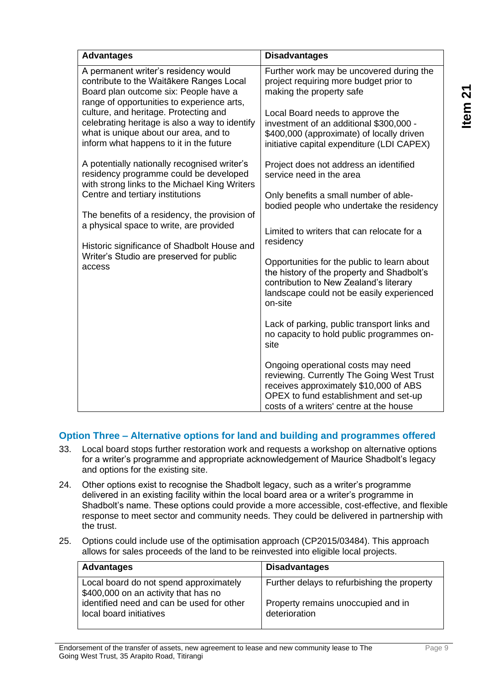| <b>Advantages</b>                                                                                                                                                                                                                                                                                                                                                            | <b>Disadvantages</b>                                                                                                                                                                                          |
|------------------------------------------------------------------------------------------------------------------------------------------------------------------------------------------------------------------------------------------------------------------------------------------------------------------------------------------------------------------------------|---------------------------------------------------------------------------------------------------------------------------------------------------------------------------------------------------------------|
| A permanent writer's residency would<br>contribute to the Waitākere Ranges Local<br>Board plan outcome six: People have a<br>range of opportunities to experience arts,                                                                                                                                                                                                      | Further work may be uncovered during the<br>project requiring more budget prior to<br>making the property safe                                                                                                |
| culture, and heritage. Protecting and<br>celebrating heritage is also a way to identify<br>what is unique about our area, and to<br>inform what happens to it in the future                                                                                                                                                                                                  | Local Board needs to approve the<br>investment of an additional \$300,000 -<br>\$400,000 (approximate) of locally driven<br>initiative capital expenditure (LDI CAPEX)                                        |
| A potentially nationally recognised writer's<br>residency programme could be developed<br>with strong links to the Michael King Writers<br>Centre and tertiary institutions<br>The benefits of a residency, the provision of<br>a physical space to write, are provided<br>Historic significance of Shadbolt House and<br>Writer's Studio are preserved for public<br>access | Project does not address an identified<br>service need in the area                                                                                                                                            |
|                                                                                                                                                                                                                                                                                                                                                                              | Only benefits a small number of able-<br>bodied people who undertake the residency                                                                                                                            |
|                                                                                                                                                                                                                                                                                                                                                                              | Limited to writers that can relocate for a<br>residency                                                                                                                                                       |
|                                                                                                                                                                                                                                                                                                                                                                              | Opportunities for the public to learn about<br>the history of the property and Shadbolt's<br>contribution to New Zealand's literary<br>landscape could not be easily experienced<br>on-site                   |
|                                                                                                                                                                                                                                                                                                                                                                              | Lack of parking, public transport links and<br>no capacity to hold public programmes on-<br>site                                                                                                              |
|                                                                                                                                                                                                                                                                                                                                                                              | Ongoing operational costs may need<br>reviewing. Currently The Going West Trust<br>receives approximately \$10,000 of ABS<br>OPEX to fund establishment and set-up<br>costs of a writers' centre at the house |

### **Option Three – Alternative options for land and building and programmes offered**

- 33. Local board stops further restoration work and requests a workshop on alternative options for a writer's programme and appropriate acknowledgement of Maurice Shadbolt's legacy and options for the existing site.
- 24. Other options exist to recognise the Shadbolt legacy, such as a writer's programme delivered in an existing facility within the local board area or a writer's programme in Shadbolt's name. These options could provide a more accessible, cost-effective, and flexible response to meet sector and community needs. They could be delivered in partnership with the trust.
- 25. Options could include use of the optimisation approach (CP2015/03484). This approach allows for sales proceeds of the land to be reinvested into eligible local projects.

| <b>Advantages</b>                                                              | <b>Disadvantages</b>                                |
|--------------------------------------------------------------------------------|-----------------------------------------------------|
| Local board do not spend approximately<br>\$400,000 on an activity that has no | Further delays to refurbishing the property         |
| identified need and can be used for other<br>local board initiatives           | Property remains unoccupied and in<br>deterioration |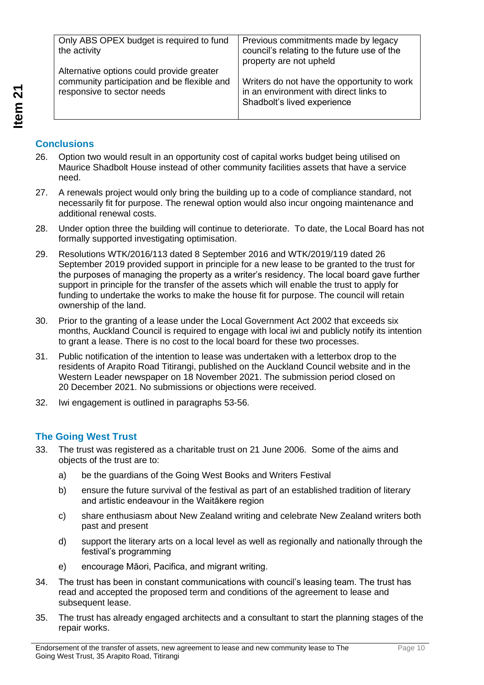| Only ABS OPEX budget is required to fund<br>the activity | Previous commitments made by legacy<br>council's relating to the future use of the<br>property are not upheld |
|----------------------------------------------------------|---------------------------------------------------------------------------------------------------------------|
| Alternative options could provide greater                | Writers do not have the opportunity to work                                                                   |
| community participation and be flexible and              | in an environment with direct links to                                                                        |
| responsive to sector needs                               | Shadbolt's lived experience                                                                                   |

### **Conclusions**

- 26. Option two would result in an opportunity cost of capital works budget being utilised on Maurice Shadbolt House instead of other community facilities assets that have a service need.
- 27. A renewals project would only bring the building up to a code of compliance standard, not necessarily fit for purpose. The renewal option would also incur ongoing maintenance and additional renewal costs.
- 28. Under option three the building will continue to deteriorate. To date, the Local Board has not formally supported investigating optimisation.
- 29. Resolutions WTK/2016/113 dated 8 September 2016 and WTK/2019/119 dated 26 September 2019 provided support in principle for a new lease to be granted to the trust for the purposes of managing the property as a writer's residency. The local board gave further support in principle for the transfer of the assets which will enable the trust to apply for funding to undertake the works to make the house fit for purpose. The council will retain ownership of the land.
- 30. Prior to the granting of a lease under the Local Government Act 2002 that exceeds six months, Auckland Council is required to engage with local iwi and publicly notify its intention to grant a lease. There is no cost to the local board for these two processes.
- 31. Public notification of the intention to lease was undertaken with a letterbox drop to the residents of Arapito Road Titirangi, published on the Auckland Council website and in the Western Leader newspaper on 18 November 2021. The submission period closed on 20 December 2021. No submissions or objections were received.
- 32. Iwi engagement is outlined in paragraphs 53-56.

### **The Going West Trust**

- 33. The trust was registered as a charitable trust on 21 June 2006. Some of the aims and objects of the trust are to:
	- a) be the guardians of the Going West Books and Writers Festival
	- b) ensure the future survival of the festival as part of an established tradition of literary and artistic endeavour in the Waitākere region
	- c) share enthusiasm about New Zealand writing and celebrate New Zealand writers both past and present
	- d) support the literary arts on a local level as well as regionally and nationally through the festival's programming
	- e) encourage Māori, Pacifica, and migrant writing.
- 34. The trust has been in constant communications with council's leasing team. The trust has read and accepted the proposed term and conditions of the agreement to lease and subsequent lease.
- 35. The trust has already engaged architects and a consultant to start the planning stages of the repair works.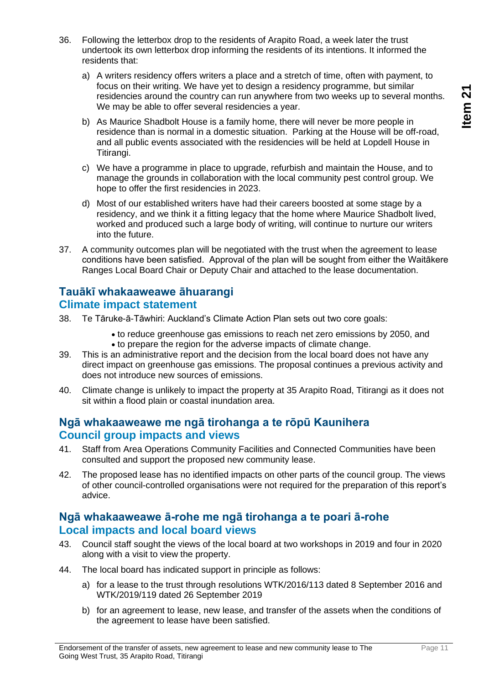- 36. Following the letterbox drop to the residents of Arapito Road, a week later the trust undertook its own letterbox drop informing the residents of its intentions. It informed the residents that:
	- a) A writers residency offers writers a place and a stretch of time, often with payment, to focus on their writing. We have yet to design a residency programme, but similar residencies around the country can run anywhere from two weeks up to several months. We may be able to offer several residencies a year.
	- b) As Maurice Shadbolt House is a family home, there will never be more people in residence than is normal in a domestic situation. Parking at the House will be off-road, and all public events associated with the residencies will be held at Lopdell House in Titirangi.
	- c) We have a programme in place to upgrade, refurbish and maintain the House, and to manage the grounds in collaboration with the local community pest control group. We hope to offer the first residencies in 2023.
	- d) Most of our established writers have had their careers boosted at some stage by a residency, and we think it a fitting legacy that the home where Maurice Shadbolt lived, worked and produced such a large body of writing, will continue to nurture our writers into the future.
- 37. A community outcomes plan will be negotiated with the trust when the agreement to lease conditions have been satisfied. Approval of the plan will be sought from either the Waitākere Ranges Local Board Chair or Deputy Chair and attached to the lease documentation.

### **Tauākī whakaaweawe āhuarangi Climate impact statement**

- 38. Te Tāruke-ā-Tāwhiri: Auckland's Climate Action Plan sets out two core goals:
	- to reduce greenhouse gas emissions to reach net zero emissions by 2050, and • to prepare the region for the adverse impacts of climate change.
- 39. This is an administrative report and the decision from the local board does not have any direct impact on greenhouse gas emissions. The proposal continues a previous activity and does not introduce new sources of emissions.
- 40. Climate change is unlikely to impact the property at 35 Arapito Road, Titirangi as it does not sit within a flood plain or coastal inundation area.

### **Ngā whakaaweawe me ngā tirohanga a te rōpū Kaunihera Council group impacts and views**

- 41. Staff from Area Operations Community Facilities and Connected Communities have been consulted and support the proposed new community lease.
- 42. The proposed lease has no identified impacts on other parts of the council group. The views of other council-controlled organisations were not required for the preparation of this report's advice.

### **Ngā whakaaweawe ā-rohe me ngā tirohanga a te poari ā-rohe Local impacts and local board views**

- 43. Council staff sought the views of the local board at two workshops in 2019 and four in 2020 along with a visit to view the property.
- 44. The local board has indicated support in principle as follows:
	- a) for a lease to the trust through resolutions WTK/2016/113 dated 8 September 2016 and WTK/2019/119 dated 26 September 2019
	- b) for an agreement to lease, new lease, and transfer of the assets when the conditions of the agreement to lease have been satisfied.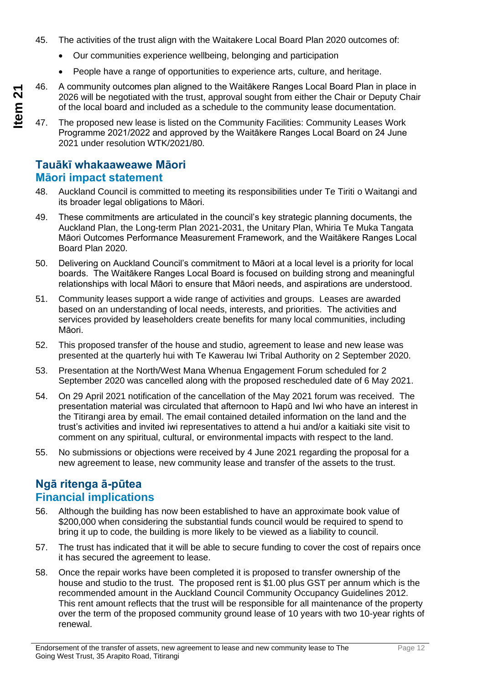- 45. The activities of the trust align with the Waitakere Local Board Plan 2020 outcomes of:
	- Our communities experience wellbeing, belonging and participation
	- People have a range of opportunities to experience arts, culture, and heritage.
- **Item 21** 46. A community outcomes plan aligned to the Waitākere Ranges Local Board Plan in place in
	- 2026 will be negotiated with the trust, approval sought from either the Chair or Deputy Chair of the local board and included as a schedule to the community lease documentation.

47. The proposed new lease is listed on the Community Facilities: Community Leases Work Programme 2021/2022 and approved by the Waitākere Ranges Local Board on 24 June 2021 under resolution WTK/2021/80.

### **Tauākī whakaaweawe Māori Māori impact statement**

- 48. Auckland Council is committed to meeting its responsibilities under Te Tiriti o Waitangi and its broader legal obligations to Māori.
- 49. These commitments are articulated in the council's key strategic planning documents, the Auckland Plan, the Long-term Plan 2021-2031, the Unitary Plan, Whiria Te Muka Tangata Māori Outcomes Performance Measurement Framework, and the Waitākere Ranges Local Board Plan 2020.
- 50. Delivering on Auckland Council's commitment to Māori at a local level is a priority for local boards. The Waitākere Ranges Local Board is focused on building strong and meaningful relationships with local Māori to ensure that Māori needs, and aspirations are understood.
- 51. Community leases support a wide range of activities and groups. Leases are awarded based on an understanding of local needs, interests, and priorities. The activities and services provided by leaseholders create benefits for many local communities, including Māori.
- 52. This proposed transfer of the house and studio, agreement to lease and new lease was presented at the quarterly hui with Te Kawerau Iwi Tribal Authority on 2 September 2020.
- 53. Presentation at the North/West Mana Whenua Engagement Forum scheduled for 2 September 2020 was cancelled along with the proposed rescheduled date of 6 May 2021.
- 54. On 29 April 2021 notification of the cancellation of the May 2021 forum was received. The presentation material was circulated that afternoon to Hapū and Iwi who have an interest in the Titirangi area by email. The email contained detailed information on the land and the trust's activities and invited iwi representatives to attend a hui and/or a kaitiaki site visit to comment on any spiritual, cultural, or environmental impacts with respect to the land.
- 55. No submissions or objections were received by 4 June 2021 regarding the proposal for a new agreement to lease, new community lease and transfer of the assets to the trust.

### **Ngā ritenga ā-pūtea Financial implications**

- 56. Although the building has now been established to have an approximate book value of \$200,000 when considering the substantial funds council would be required to spend to bring it up to code, the building is more likely to be viewed as a liability to council.
- 57. The trust has indicated that it will be able to secure funding to cover the cost of repairs once it has secured the agreement to lease.
- 58. Once the repair works have been completed it is proposed to transfer ownership of the house and studio to the trust. The proposed rent is \$1.00 plus GST per annum which is the recommended amount in the Auckland Council Community Occupancy Guidelines 2012. This rent amount reflects that the trust will be responsible for all maintenance of the property over the term of the proposed community ground lease of 10 years with two 10-year rights of renewal.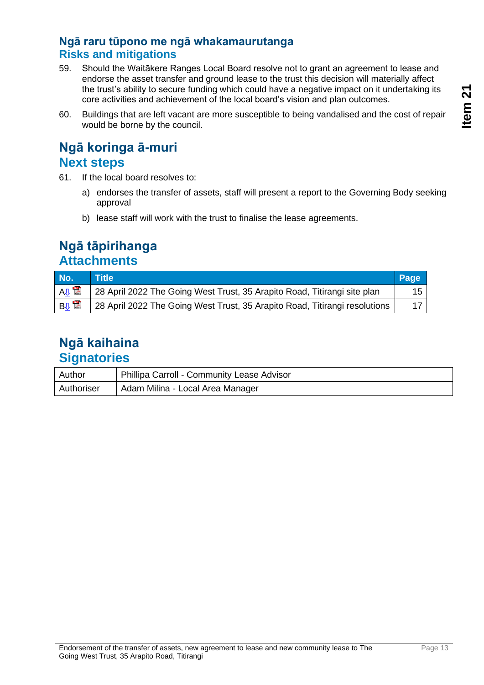### **Ngā raru tūpono me ngā whakamaurutanga Risks and mitigations**

- 59. Should the Waitākere Ranges Local Board resolve not to grant an agreement to lease and endorse the asset transfer and ground lease to the trust this decision will materially affect the trust's ability to secure funding which could have a negative impact on it undertaking its core activities and achievement of the local board's vision and plan outcomes.
- 60. Buildings that are left vacant are more susceptible to being vandalised and the cost of repair would be borne by the council.

### **Ngā koringa ā-muri Next steps**

- 61. If the local board resolves to:
	- a) endorses the transfer of assets, staff will present a report to the Governing Body seeking approval
	- b) lease staff will work with the trust to finalise the lease agreements.

## **Ngā tāpirihanga Attachments**

| No.                   | <b>STille</b>                                                              | Page |
|-----------------------|----------------------------------------------------------------------------|------|
| $A\downarrow$         | 28 April 2022 The Going West Trust, 35 Arapito Road, Titirangi site plan   | 15   |
| <b>B</b> <sub>U</sub> | 28 April 2022 The Going West Trust, 35 Arapito Road, Titirangi resolutions | 17   |

### **Ngā kaihaina Signatories**

| Author     | Phillipa Carroll - Community Lease Advisor |
|------------|--------------------------------------------|
| Authoriser | Adam Milina - Local Area Manager           |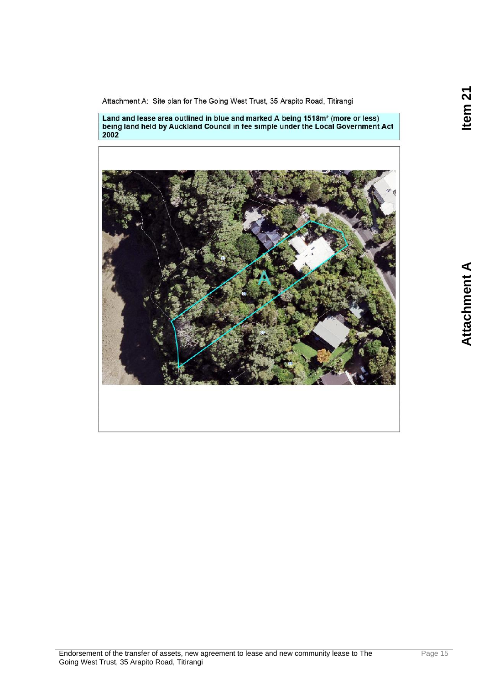Item 21

<span id="page-14-0"></span>Attachment A: Site plan for The Going West Trust, 35 Arapito Road, Titirangi

Land and lease area outlined in blue and marked A being 1518m<sup>2</sup> (more or less)<br>being land held by Auckland Council in fee simple under the Local Government Act<br>2002